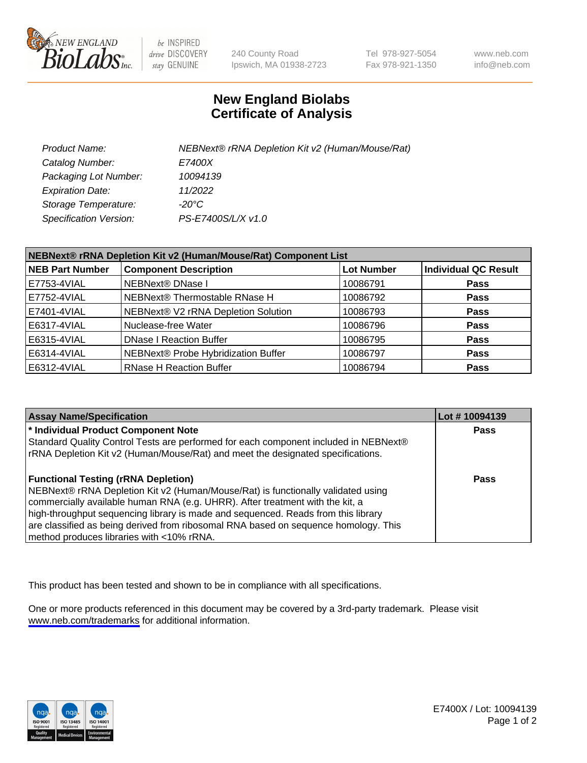

be INSPIRED drive DISCOVERY stay GENUINE

240 County Road Ipswich, MA 01938-2723 Tel 978-927-5054 Fax 978-921-1350

www.neb.com info@neb.com

## **New England Biolabs Certificate of Analysis**

| Product Name:           | NEBNext® rRNA Depletion Kit v2 (Human/Mouse/Rat) |
|-------------------------|--------------------------------------------------|
| Catalog Number:         | <i>E7400X</i>                                    |
| Packaging Lot Number:   | 10094139                                         |
| <b>Expiration Date:</b> | 11/2022                                          |
| Storage Temperature:    | -20°C                                            |
| Specification Version:  | PS-E7400S/L/X v1.0                               |

| NEBNext® rRNA Depletion Kit v2 (Human/Mouse/Rat) Component List |                                     |                   |                             |  |
|-----------------------------------------------------------------|-------------------------------------|-------------------|-----------------------------|--|
| <b>NEB Part Number</b>                                          | <b>Component Description</b>        | <b>Lot Number</b> | <b>Individual QC Result</b> |  |
| E7753-4VIAL                                                     | NEBNext® DNase I                    | 10086791          | <b>Pass</b>                 |  |
| E7752-4VIAL                                                     | NEBNext® Thermostable RNase H       | 10086792          | <b>Pass</b>                 |  |
| E7401-4VIAL                                                     | NEBNext® V2 rRNA Depletion Solution | 10086793          | <b>Pass</b>                 |  |
| E6317-4VIAL                                                     | Nuclease-free Water                 | 10086796          | <b>Pass</b>                 |  |
| E6315-4VIAL                                                     | <b>DNase I Reaction Buffer</b>      | 10086795          | <b>Pass</b>                 |  |
| E6314-4VIAL                                                     | NEBNext® Probe Hybridization Buffer | 10086797          | <b>Pass</b>                 |  |
| E6312-4VIAL                                                     | <b>RNase H Reaction Buffer</b>      | 10086794          | <b>Pass</b>                 |  |

| <b>Assay Name/Specification</b>                                                      | Lot # 10094139 |
|--------------------------------------------------------------------------------------|----------------|
| * Individual Product Component Note                                                  | <b>Pass</b>    |
| Standard Quality Control Tests are performed for each component included in NEBNext® |                |
| rRNA Depletion Kit v2 (Human/Mouse/Rat) and meet the designated specifications.      |                |
| <b>Functional Testing (rRNA Depletion)</b>                                           | Pass           |
| NEBNext® rRNA Depletion Kit v2 (Human/Mouse/Rat) is functionally validated using     |                |
| commercially available human RNA (e.g. UHRR). After treatment with the kit, a        |                |
| high-throughput sequencing library is made and sequenced. Reads from this library    |                |
| are classified as being derived from ribosomal RNA based on sequence homology. This  |                |
| method produces libraries with <10% rRNA.                                            |                |

This product has been tested and shown to be in compliance with all specifications.

One or more products referenced in this document may be covered by a 3rd-party trademark. Please visit <www.neb.com/trademarks>for additional information.